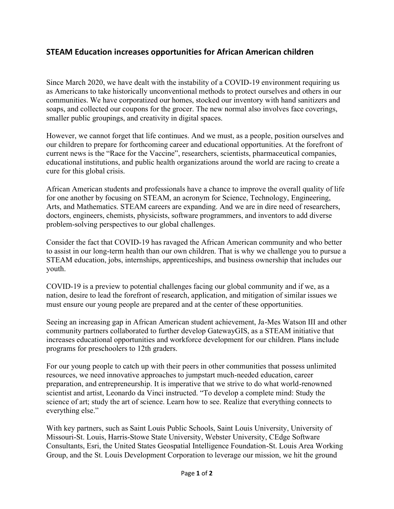## **STEAM Education increases opportunities for African American children**

Since March 2020, we have dealt with the instability of a COVID-19 environment requiring us as Americans to take historically unconventional methods to protect ourselves and others in our communities. We have corporatized our homes, stocked our inventory with hand sanitizers and soaps, and collected our coupons for the grocer. The new normal also involves face coverings, smaller public groupings, and creativity in digital spaces.

However, we cannot forget that life continues. And we must, as a people, position ourselves and our children to prepare for forthcoming career and educational opportunities. At the forefront of current news is the "Race for the Vaccine", researchers, scientists, pharmaceutical companies, educational institutions, and public health organizations around the world are racing to create a cure for this global crisis.

African American students and professionals have a chance to improve the overall quality of life for one another by focusing on STEAM, an acronym for Science, Technology, Engineering, Arts, and Mathematics. STEAM careers are expanding. And we are in dire need of researchers, doctors, engineers, chemists, physicists, software programmers, and inventors to add diverse problem-solving perspectives to our global challenges.

Consider the fact that COVID-19 has ravaged the African American community and who better to assist in our long-term health than our own children. That is why we challenge you to pursue a STEAM education, jobs, internships, apprenticeships, and business ownership that includes our youth.

COVID-19 is a preview to potential challenges facing our global community and if we, as a nation, desire to lead the forefront of research, application, and mitigation of similar issues we must ensure our young people are prepared and at the center of these opportunities.

Seeing an increasing gap in African American student achievement, Ja-Mes Watson III and other community partners collaborated to further develop GatewayGIS, as a STEAM initiative that increases educational opportunities and workforce development for our children. Plans include programs for preschoolers to 12th graders.

For our young people to catch up with their peers in other communities that possess unlimited resources, we need innovative approaches to jumpstart much-needed education, career preparation, and entrepreneurship. It is imperative that we strive to do what world-renowned scientist and artist, Leonardo da Vinci instructed. "To develop a complete mind: Study the science of art; study the art of science. Learn how to see. Realize that everything connects to everything else."

With key partners, such as Saint Louis Public Schools, Saint Louis University, University of Missouri-St. Louis, Harris-Stowe State University, Webster University, CEdge Software Consultants, Esri, the United States Geospatial Intelligence Foundation-St. Louis Area Working Group, and the St. Louis Development Corporation to leverage our mission, we hit the ground